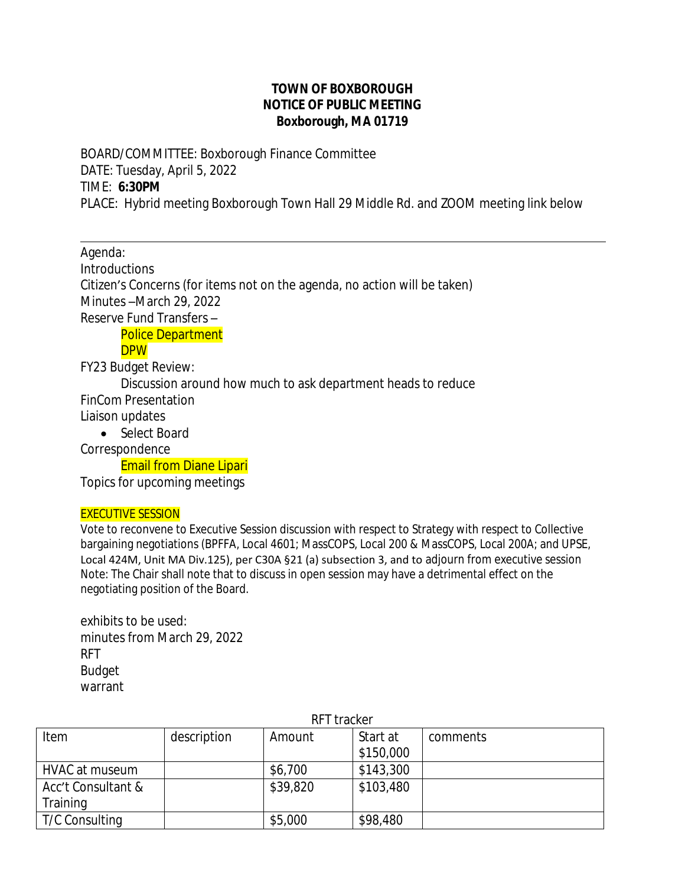## **TOWN OF BOXBOROUGH NOTICE OF PUBLIC MEETING Boxborough, MA 01719**

BOARD/COMMITTEE: Boxborough Finance Committee DATE: Tuesday, April 5, 2022 TIME: **6:30PM** PLACE: Hybrid meeting Boxborough Town Hall 29 Middle Rd. and ZOOM meeting link below

Agenda: **Introductions** Citizen's Concerns (for items not on the agenda, no action will be taken) Minutes –March 29, 2022 Reserve Fund Transfers – Police Department **DPW** FY23 Budget Review:

Discussion around how much to ask department heads to reduce

FinCom Presentation

Liaison updates

 $\overline{a}$ 

• Select Board

Correspondence

Email from Diane Lipari

Topics for upcoming meetings

## EXECUTIVE SESSION

Vote to reconvene to Executive Session discussion with respect to Strategy with respect to Collective bargaining negotiations (BPFFA, Local 4601; MassCOPS, Local 200 & MassCOPS, Local 200A; and UPSE, Local 424M, Unit MA Div.125), per C30A §21 (a) subsection 3, and to adjourn from executive session Note: The Chair shall note that to discuss in open session may have a detrimental effect on the negotiating position of the Board.

exhibits to be used: minutes from March 29, 2022 RFT Budget warrant

| RFT tracker        |             |          |           |          |  |  |
|--------------------|-------------|----------|-----------|----------|--|--|
| Item               | description | Amount   | Start at  | comments |  |  |
|                    |             |          | \$150,000 |          |  |  |
| HVAC at museum     |             | \$6,700  | \$143,300 |          |  |  |
| Acc't Consultant & |             | \$39,820 | \$103,480 |          |  |  |
| Training           |             |          |           |          |  |  |
| T/C Consulting     |             | \$5,000  | \$98,480  |          |  |  |